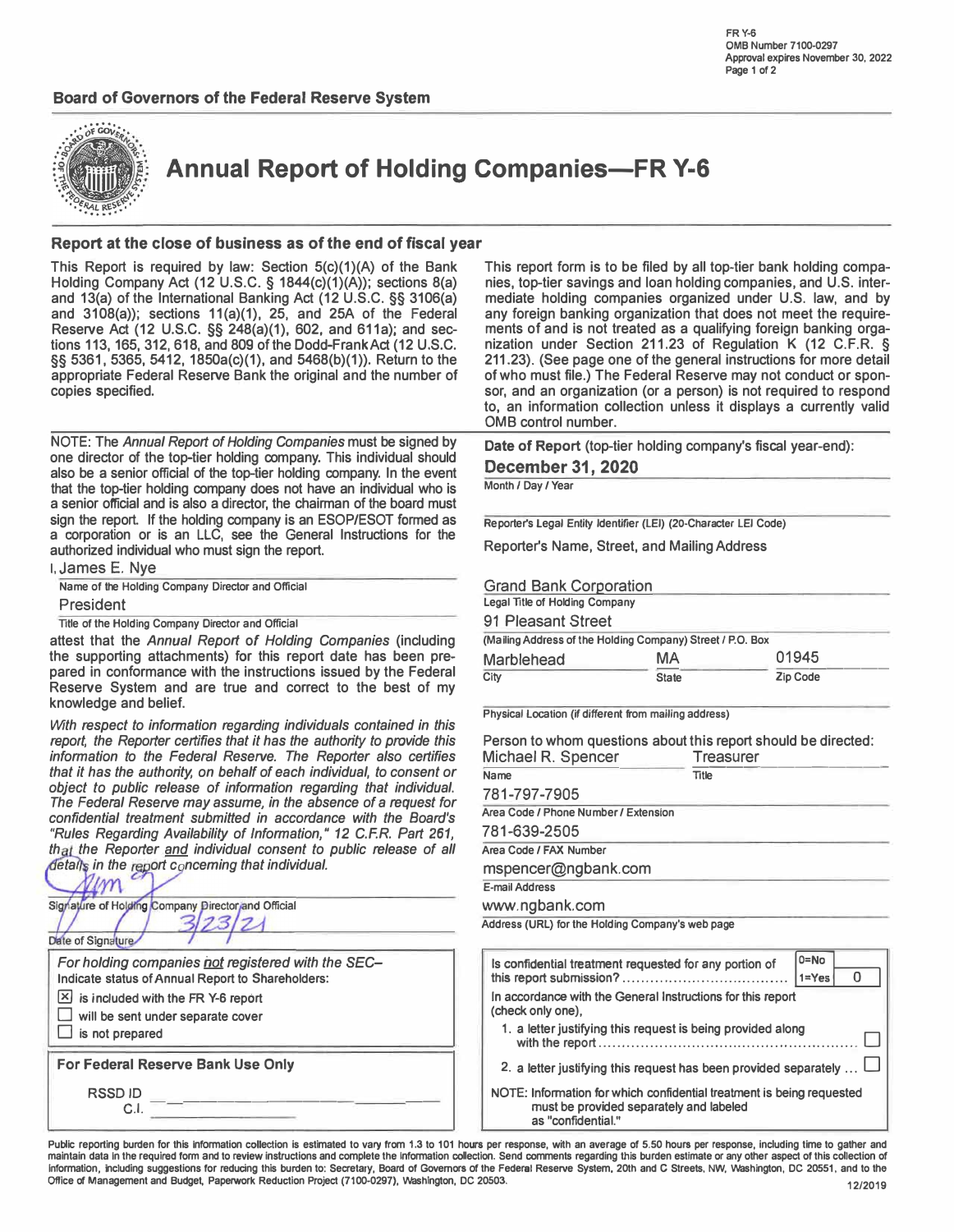

**Annual Report of Holding Companies-FR Y-6** 

### **Report at the close of business as of the end of fiscal year**

This Report is required by law: Section 5(c}(1)(A) of the Bank Holding Company Act (12 U.S.C. **§** 1844(c}(1)(A)); sections 8(a) and 13(a) of the International Banking Act (12 U.S.C. **§§** 3106(a) and 3108(a)); sections 11(a)(1), 25, and 25A of the Federal Reserve Act (12 U.S.C. §§ 248(a)(1), 602, and 611a); and sections 113,165,312,618, and 809 of the Dodd-Frank Act (12 U.S.C. **§§** 5361, 5365, 5412, 1850a(c)(1), and 5468(b)(1)). Return to the appropriate Federal Reserve Bank the original and the number of copies specified.

NOTE: The *Annual Report of Holding Companies* must be signed by one director of the top-tier holding company. This individual should also be a senior official of the top-tier holding company. In the event that the top-tier holding company does not have an individual who is a senior official and is also a director, the chairman of the board must sign the report. If the holding company is an ESOP/ESOT formed as a corporation or is an LLC, see the General Instructions for the authorized individual who must sign the report.

**I,** James E. Nye **Name of the Holding Company Director and Official** 

President

**Title of the Holding Company Director and Official** 

attest that the *Annual Report* of *Holding Companies* (including the supporting attachments) for this report date has been prepared in conformance with the instructions issued by the Federal Reserve System and are true and correct to the best of my knowledge and belief.

*With respect to information regarding individuals contained in this report, the Reporter certifies that it has the authority to provide this information to the Federal Reserve. The Reporter also certifies that it has the authority, on behalf of each individual, to consent or object to public release of information regarding that individual. The Federal Reserve may assume, in the absence of a request for confidential treatment submitted in accordance with the Board's "Rules Regarding Availability of Information," 12 C.F.R. Part 261,*  that the Reporter and individual consent to public release of all *details in the report conceming that individual.* 

| Signature of Holding Company Director and Official<br>Date of Signature.                                                                                                                              |  |
|-------------------------------------------------------------------------------------------------------------------------------------------------------------------------------------------------------|--|
| For holding companies not registered with the SEC-<br>Indicate status of Annual Report to Shareholders:<br>is included with the FR Y-6 report<br>will be sent under separate cover<br>is not prepared |  |
| For Federal Reserve Bank Use Only                                                                                                                                                                     |  |
| <b>RSSDID</b><br>СI                                                                                                                                                                                   |  |

This report form is to be filed by all top-tier bank holding companies, top-tier savings and loan holding companies, and U.S. intermediate holding companies organized under U.S. law, and by any foreign banking organization that does not meet the requirements of and is not treated as a qualifying foreign banking organization under Section 211.23 of Regulation K (12 C.F.R. **§**  211.23). (See page one of the general instructions for more detail of who must file.) The Federal Reserve may not conduct or sponsor, and an organization (or a person) is not required to respond to, an information collection unless it displays a currently valid 0MB control number.

**Date of Report** (top-tier holding company's fiscal year-end): **December 31, 2020** 

**Month / Day / Year** 

**Reporter's Legal Entity Identifier (LEI} (20-Character LEI Code}** 

Reporter's Name, Street, and Mailing Address

Grand Bank Corporation

| Legal Title of Holding Company                             |              |          |  |
|------------------------------------------------------------|--------------|----------|--|
| 91 Pleasant Street                                         |              |          |  |
| (Mailing Address of the Holding Company) Street / P.O. Box |              |          |  |
| <b>Marblehead</b>                                          | МA           | 01945    |  |
| City                                                       | <b>State</b> | Zip Code |  |

**Physical Location (if different from mailing address}** 

Person to whom questions about this report should be directed: Michael R. Spencer Treasurer

| Name                                             | Title |
|--------------------------------------------------|-------|
| 781-797-7905                                     |       |
| Area Code / Phone Number / Extension             |       |
| 781-639-2505                                     |       |
| Area Code / FAX Number                           |       |
| mspencer@ngbank.com                              |       |
| <b>E-mail Address</b>                            |       |
| www.ngbank.com                                   |       |
| Address (URL) for the Holding Company's web page |       |
|                                                  |       |

| $0 = No$<br>Is confidential treatment requested for any portion of<br>$1 = Yes$                                                        |
|----------------------------------------------------------------------------------------------------------------------------------------|
| In accordance with the General Instructions for this report<br>(check only one),                                                       |
| 1. a letter justifying this request is being provided along                                                                            |
| 2. a letter justifying this request has been provided separately                                                                       |
| NOTE: Information for which confidential treatment is being requested<br>must be provided separately and labeled<br>as "confidential." |

Public reporting burden for this information collection is estimated to vary from 1.3 to 101 hours per response, with an average of 5.50 hours per response, including time to gather and maintain data in the required form and to review instructions and complete the information collection. Send comments regarding this burden estimate or any other aspect of this collection of **Information, including suggestions for reducing this burden to: Secretary, Board of Governors of the Federal Reserve System, 20th and C Streets, NW, vvashington, DC 20551, and to the**  Office of Management and Budget, Paperwork Reduction Project (7100-0297), Washington, DC 20503. 12,2019 **12,2019** 12,2019 **12,2019 12,2019**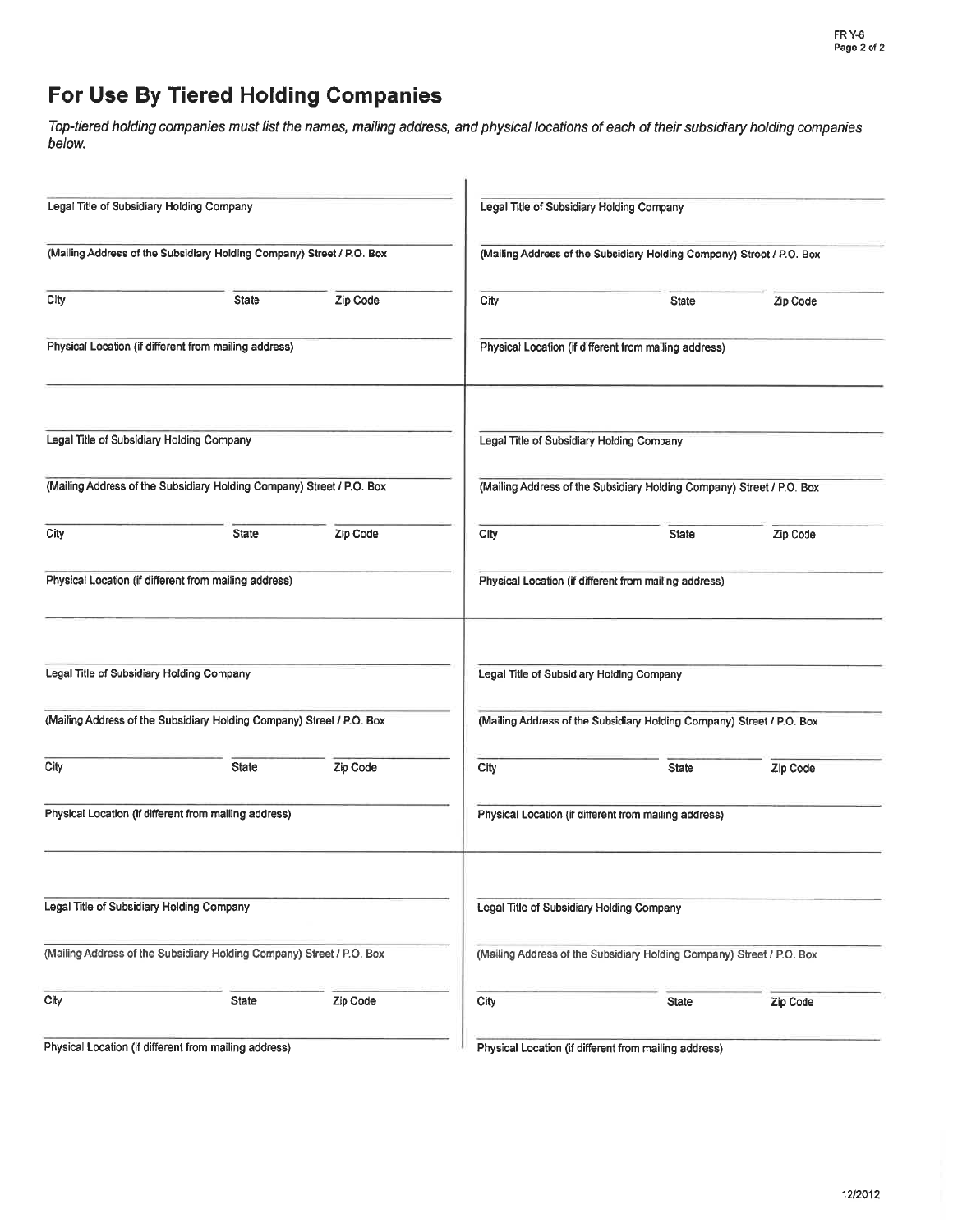# For Use By Tiered Holding Companies

Top-tiered holding companies must list the names, mailing address, and physical locations of each of their subsidiary holding companies below.

| Legal Title of Subsidiary Holding Company |                                                                       |          |                                           | Legal Title of Subsidiary Holding Company                             |          |
|-------------------------------------------|-----------------------------------------------------------------------|----------|-------------------------------------------|-----------------------------------------------------------------------|----------|
|                                           | (Mailing Address of the Subsidiary Holding Company) Street / P.O. Box |          |                                           | (Mailing Address of the Subsidiary Holding Company) Street / P.O. Box |          |
| City                                      | <b>State</b>                                                          | Zip Code | City                                      | <b>State</b>                                                          | Zip Code |
|                                           | Physical Location (if different from mailing address)                 |          |                                           | Physical Location (if different from mailing address)                 |          |
| Legal Title of Subsidiary Holding Company |                                                                       |          | Legal Title of Subsidiary Holding Company |                                                                       |          |
|                                           | (Mailing Address of the Subsidiary Holding Company) Street / P.O. Box |          |                                           | (Mailing Address of the Subsidiary Holding Company) Street / P.O. Box |          |
| City                                      | <b>State</b>                                                          | Zip Code | City                                      | <b>State</b>                                                          | Zip Code |
|                                           | Physical Location (if different from mailing address)                 |          |                                           | Physical Location (if different from mailing address)                 |          |
| Legal Title of Subsidiary Holding Company |                                                                       |          | Legal Title of Subsidiary Holding Company |                                                                       |          |
|                                           | (Mailing Address of the Subsidiary Holding Company) Street / P.O. Box |          |                                           | (Mailing Address of the Subsidiary Holding Company) Street / P.O. Box |          |
| City                                      | <b>State</b>                                                          | Zip Code | City                                      | <b>State</b>                                                          | Zip Code |
|                                           | Physical Location (if different from mailing address)                 |          |                                           | Physical Location (if different from mailing address)                 |          |
| Legal Title of Subsidiary Holding Company |                                                                       |          | Legal Title of Subsidiary Holding Company |                                                                       |          |
|                                           | (Mailing Address of the Subsidiary Holding Company) Street / P.O. Box |          |                                           | (Mailing Address of the Subsidiary Holding Company) Street / P.O. Box |          |
| City                                      | <b>State</b>                                                          | Zip Code | City                                      | State                                                                 | Zip Code |
|                                           | Physical Location (if different from mailing address)                 |          |                                           | Physical Location (if different from mailing address)                 |          |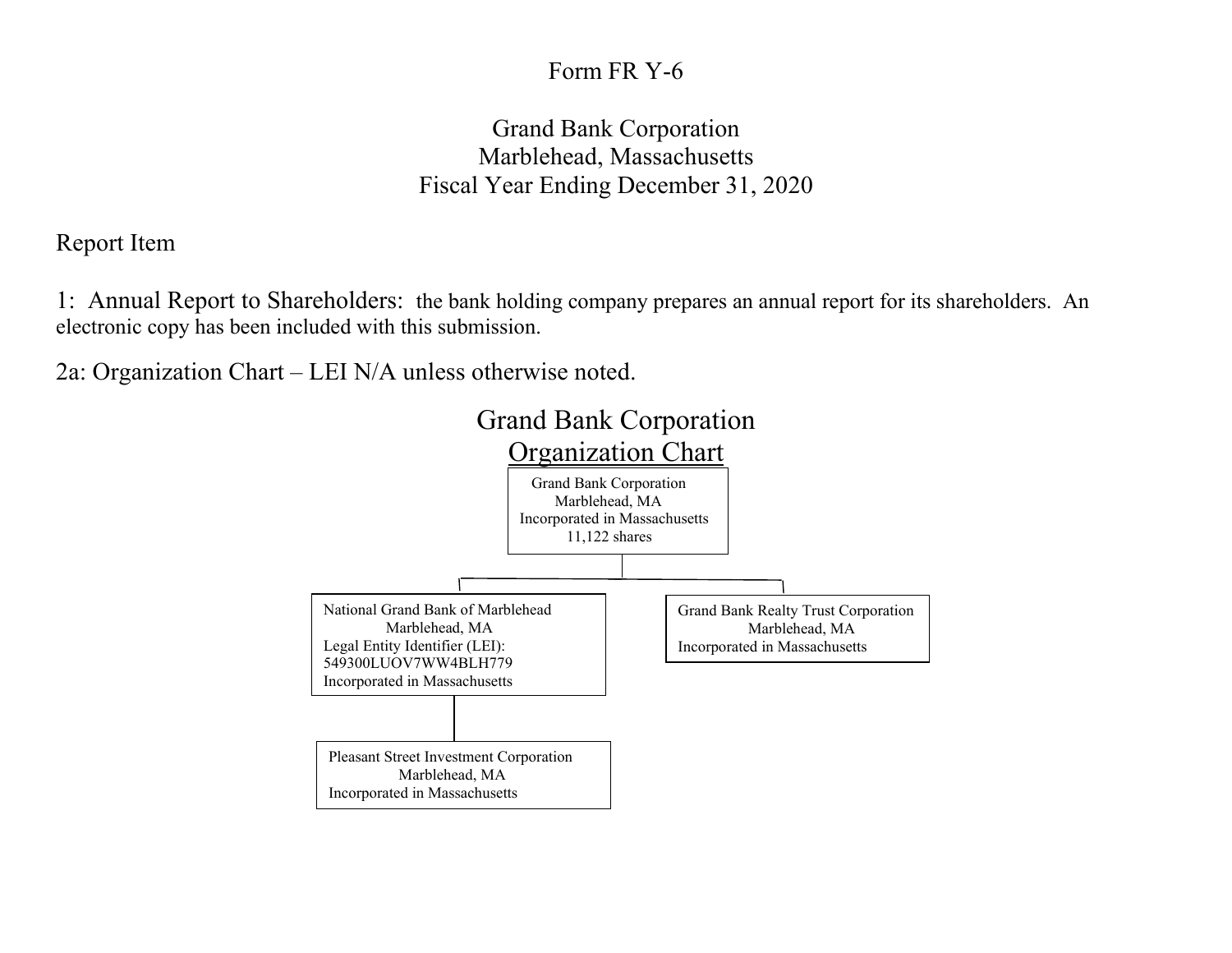## Form FR Y-6

## Grand Bank Corporation Marblehead, Massachusetts Fiscal Year Ending December 31, 2020

Report Item

1: Annual Report to Shareholders: the bank holding company prepares an annual report for its shareholders. An electronic copy has been included with this submission.

2a: Organization Chart – LEI N/A unless otherwise noted.

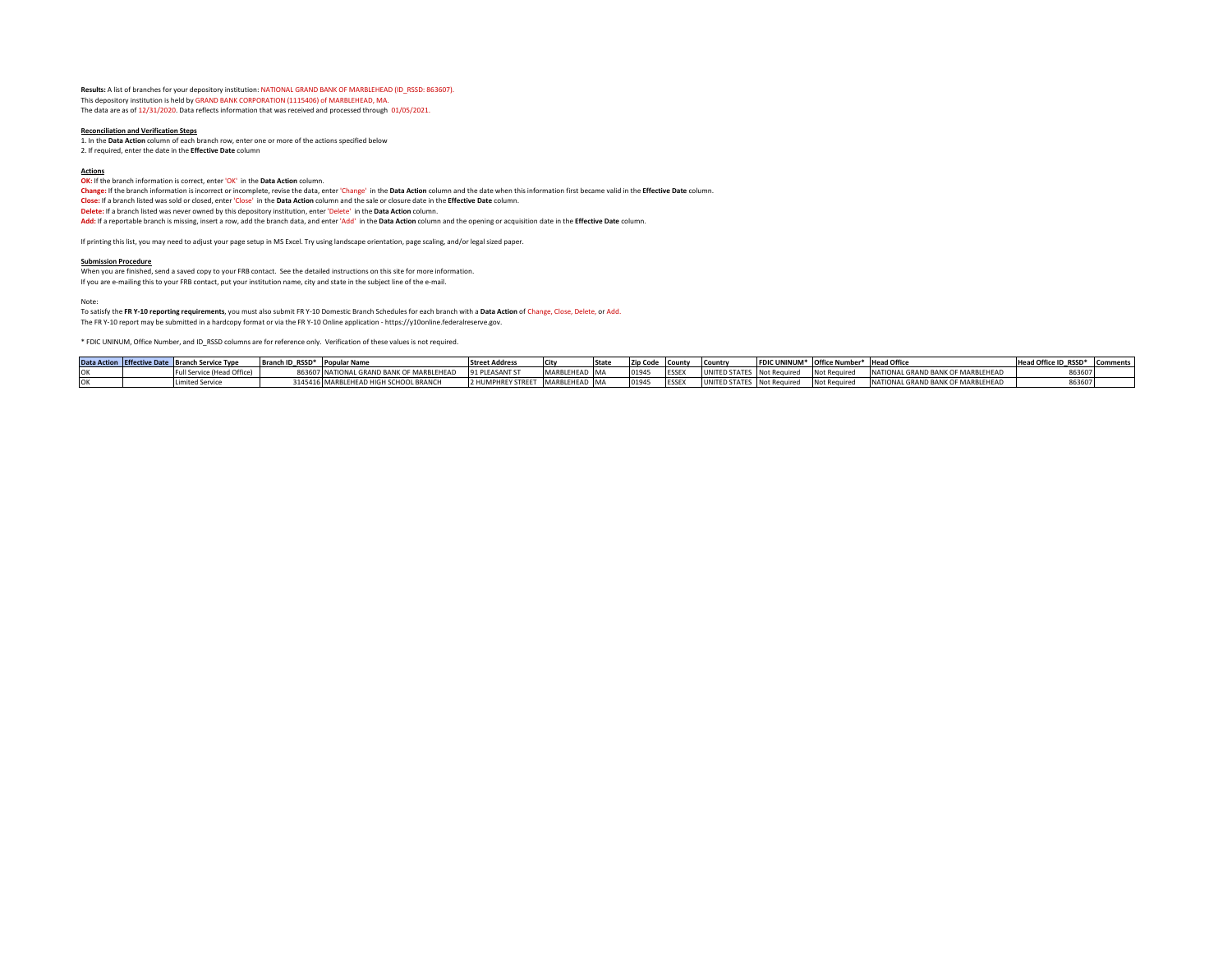**Results:** A list of branches for your depository institution: NATIONAL GRAND BANK OF MARBLEHEAD (ID\_RSSD: 863607). This depository institution is held by GRAND BANK CORPORATION (1115406) of MARBLEHEAD, MA. The data are as of 12/31/2020. Data reflects information that was received and processed through 01/05/2021.

#### **Reconciliation and Verification Steps**

1. In the **Data Action** column of each branch row, enter one or more of the actions specified below 2. If required, enter the date in the **Effective Date** column

#### **Actions**

**OK:** If the branch information is correct, enter 'OK' in the **Data Action** column.

**Change:** If the branch information is incorrect or incomplete, revise the data, enter 'Change' in the **Data Action** column and the date when this information first became valid in the **Effective Date** column. **Close:** If a branch listed was sold or closed, enter 'Close' in the **Data Action** column and the sale or closure date in the **Effective Date** column. **Delete:** If a branch listed was never owned by this depository institution, enter 'Delete' in the **Data Action** column. **Add:** If a reportable branch is missing, insert a row, add the branch data, and enter 'Add' in the **Data Action** column and the opening or acquisition date in the **Effective Date** column.

If printing this list, you may need to adjust your page setup in MS Excel. Try using landscape orientation, page scaling, and/or legal sized paper.

#### **Submission Procedure**

When you are finished, send a saved copy to your FRB contact. See the detailed instructions on this site for more information.

If you are e-mailing this to your FRB contact, put your institution name, city and state in the subject line of the e-mail.

#### Note:

To satisfy the **FR Y-10 reporting requirements**, you must also submit FR Y-10 Domestic Branch Schedules for each branch with a **Data Action** of Change, Close, Delete, or Add.

The FR Y-10 report may be submitted in a hardcopy format or via the FR Y-10 Online application - https://y10online.federalreserve.gov.

\* FDIC UNINUM, Office Number, and ID\_RSSD columns are for reference only. Verification of these values is not required.

|  | Data Action Effective Date Branch Service Type | Branch ID RSSD* Popular Name |                                          | <b>Street Address</b> |               | <b>Stat</b> | Zip Code County |             | Country                    | FDIC UNINUM* Office Number* Head Office |                                   | Head Office ID RSSD* Comments |  |
|--|------------------------------------------------|------------------------------|------------------------------------------|-----------------------|---------------|-------------|-----------------|-------------|----------------------------|-----------------------------------------|-----------------------------------|-------------------------------|--|
|  | Full Service (Head Office)                     |                              | 863607 NATIONAL GRAND BANK OF MARBLEHEAD | 91 PLEASANT ST        | MARBLEHEAD MA |             | 0194            | ESSE)       | UNITED STATES Not Required | Not Required                            | NATIONAL GRAND BANK OF MARBLEHEAD |                               |  |
|  | <b>Limited Service</b>                         |                              | 3145416 MARBLEHEAD HIGH SCHOOL BRANCH    | 2 HUMPHREY STREET     | MARBLEHEAD MA |             | 0194            | <b>ESSE</b> | UNITED STATES Not Required | Not Required                            | NATIONAL GRAND BANK OF MARBLEHEAD |                               |  |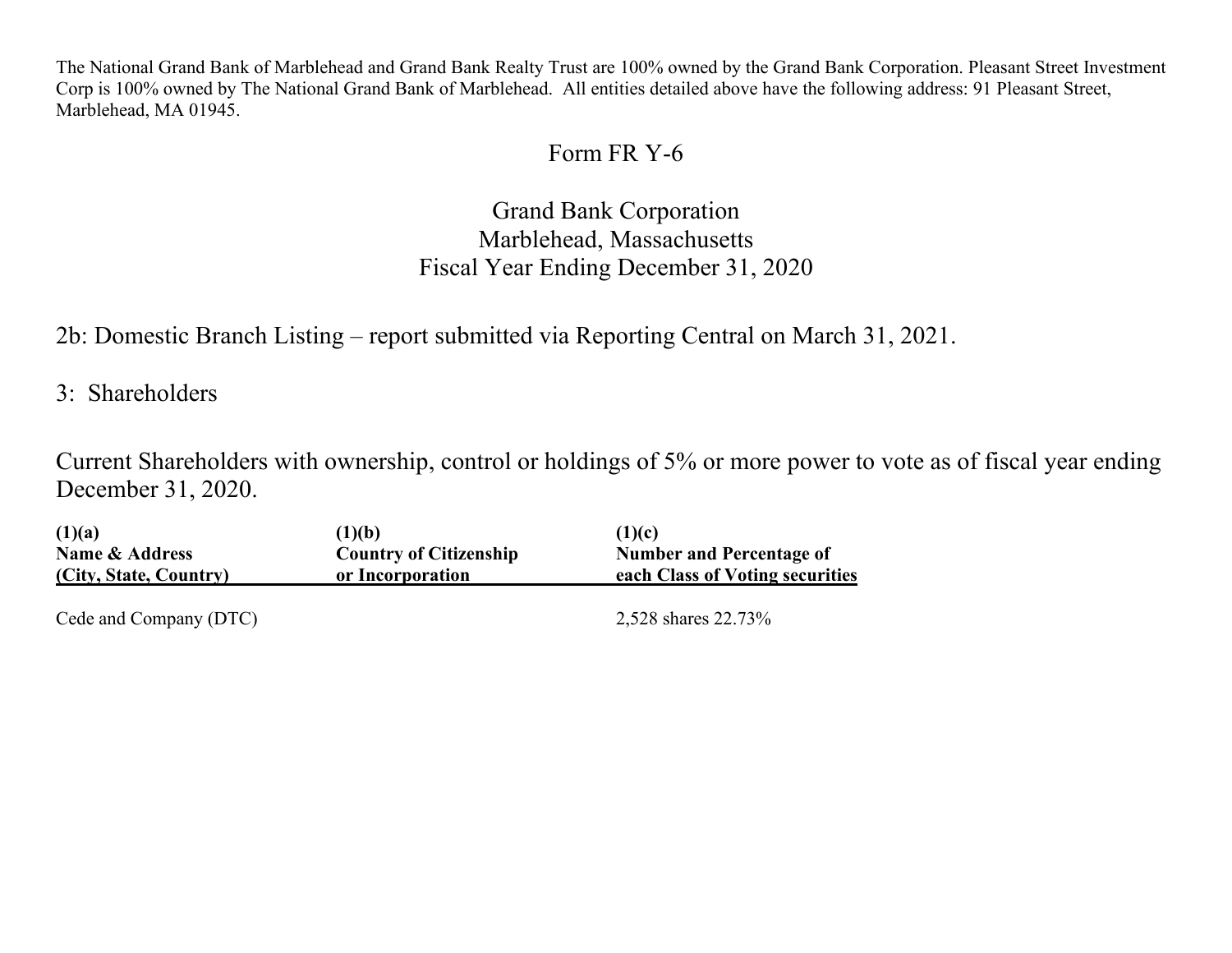The National Grand Bank of Marblehead and Grand Bank Realty Trust are 100% owned by the Grand Bank Corporation. Pleasant Street Investment Corp is 100% owned by The National Grand Bank of Marblehead. All entities detailed above have the following address: 91 Pleasant Street, Marblehead, MA 01945.

## Form FR Y-6

Grand Bank Corporation Marblehead, Massachusetts Fiscal Year Ending December 31, 2020

2b: Domestic Branch Listing – report submitted via Reporting Central on March 31, 2021.

3: Shareholders

Current Shareholders with ownership, control or holdings of 5% or more power to vote as of fiscal year ending December 31, 2020.

| (1)(a)                                              | (1)(b)                                            | (1)(c)                                                             |
|-----------------------------------------------------|---------------------------------------------------|--------------------------------------------------------------------|
| <b>Name &amp; Address</b><br>(City, State, Country) | <b>Country of Citizenship</b><br>or Incorporation | <b>Number and Percentage of</b><br>each Class of Voting securities |
| Cede and Company (DTC)                              |                                                   | 2,528 shares 22.73%                                                |